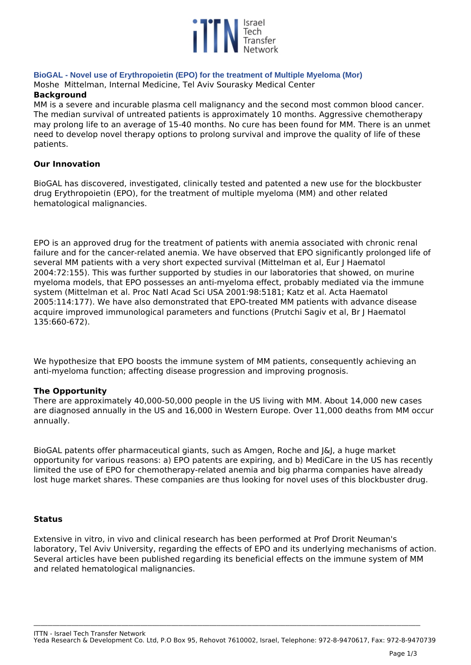

# **BioGAL - Novel use of Erythropoietin (EPO) for the treatment of Multiple Myeloma (Mor)**

*Moshe Mittelman, Internal Medicine, Tel Aviv Sourasky Medical Center* **Background**

*MM is a severe and incurable plasma cell malignancy and the second most common blood cancer. The median survival of untreated patients is approximately 10 months. Aggressive chemotherapy may prolong life to an average of 15-40 months. No cure has been found for MM. There is an unmet need to develop novel therapy options to prolong survival and improve the quality of life of these patients.*

# **Our Innovation**

*BioGAL has discovered, investigated, clinically tested and patented a new use for the blockbuster drug Erythropoietin (EPO), for the treatment of multiple myeloma (MM) and other related hematological malignancies.*

*EPO is an approved drug for the treatment of patients with anemia associated with chronic renal failure and for the cancer-related anemia. We have observed that EPO significantly prolonged life of several MM patients with a very short expected survival (Mittelman et al, Eur J Haematol 2004:72:155). This was further supported by studies in our laboratories that showed, on murine myeloma models, that EPO possesses an anti-myeloma effect, probably mediated via the immune system (Mittelman et al. Proc Natl Acad Sci USA 2001:98:5181; Katz et al. Acta Haematol 2005:114:177). We have also demonstrated that EPO-treated MM patients with advance disease acquire improved immunological parameters and functions (Prutchi Sagiv et al, Br J Haematol 135:660-672).* 

*We hypothesize that EPO boosts the immune system of MM patients, consequently achieving an anti-myeloma function; affecting disease progression and improving prognosis.* 

# **The Opportunity**

*There are approximately 40,000-50,000 people in the US living with MM. About 14,000 new cases are diagnosed annually in the US and 16,000 in Western Europe. Over 11,000 deaths from MM occur annually.*

*BioGAL patents offer pharmaceutical giants, such as Amgen, Roche and J&J, a huge market opportunity for various reasons: a) EPO patents are expiring, and b) MediCare in the US has recently limited the use of EPO for chemotherapy-related anemia and big pharma companies have already lost huge market shares. These companies are thus looking for novel uses of this blockbuster drug.*

# **Status**

*Extensive in vitro, in vivo and clinical research has been performed at Prof Drorit Neuman's laboratory, Tel Aviv University, regarding the effects of EPO and its underlying mechanisms of action. Several articles have been published regarding its beneficial effects on the immune system of MM and related hematological malignancies.* 

*ITTN - Israel Tech Transfer Network Yeda Research & Development Co. Ltd, P.O Box 95, Rehovot 7610002, Israel, Telephone: 972-8-9470617, Fax: 972-8-9470739*

**\_\_\_\_\_\_\_\_\_\_\_\_\_\_\_\_\_\_\_\_\_\_\_\_\_\_\_\_\_\_\_\_\_\_\_\_\_\_\_\_\_\_\_\_\_\_\_\_\_\_\_\_\_\_\_\_\_\_\_\_\_\_\_\_\_\_\_\_\_\_\_\_\_\_\_\_\_\_\_\_\_\_\_\_\_\_\_\_\_\_\_\_\_\_\_\_\_\_\_\_\_\_\_\_\_\_\_\_\_\_\_\_\_\_\_\_\_\_\_\_\_\_\_\_\_\_\_\_\_\_\_\_\_\_\_\_\_\_\_\_\_\_\_\_\_\_\_\_\_\_\_\_\_\_\_\_\_\_\_\_\_\_\_**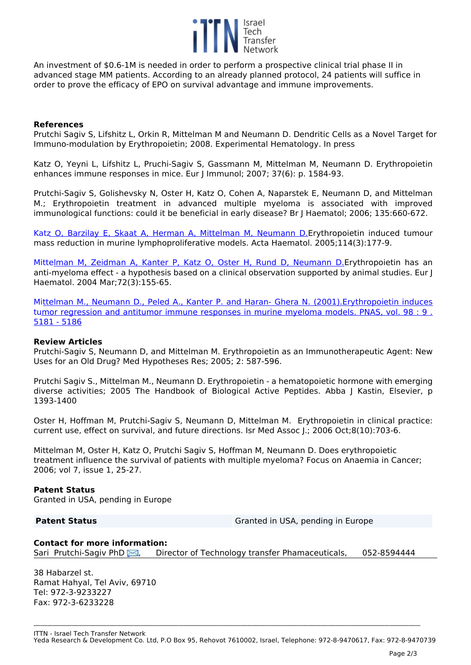

*An investment of \$0.6-1M is needed in order to perform a prospective clinical trial phase II in advanced stage MM patients. According to an already planned protocol, 24 patients will suffice in order to prove the efficacy of EPO on survival advantage and immune improvements.*

# **References**

*Prutchi Sagiv S, Lifshitz L, Orkin R, Mittelman M and Neumann D. Dendritic Cells as a Novel Target for Immuno-modulation by Erythropoietin; 2008. Experimental Hematology. In press*

*Katz O, Yeyni L, Lifshitz L, Pruchi-Sagiv S, Gassmann M, Mittelman M, Neumann D. Erythropoietin enhances immune responses in mice. Eur J Immunol; 2007; 37(6): p. 1584-93.*

*Prutchi-Sagiv S, Golishevsky N, Oster H, Katz O, Cohen A, Naparstek E, Neumann D, and Mittelman M.; Erythropoietin treatment in advanced multiple myeloma is associated with improved immunological functions: could it be beneficial in early disease? Br J Haematol; 2006; 135:660-672.*

*Kat[z O, Barzilay E, Skaat A, Herman A, Mittelman M, Neumann D.Erythrop](http://www.ncbi.nlm.nih.gov/pubmed/16227685?ordinalpos=5&itool=EntrezSystem2.PEntrez.Pubmed.Pubmed_ResultsPanel.Pubmed_DefaultReportPanel.Pubmed_RVDocSum)oietin induced tumour mass reduction in murine lymphoproliferative models. Acta Haematol. 2005;114(3):177-9.* 

*Mitte[lman M, Zeidman A, Kanter P, Katz O, Oster H, Rund D, Neumann D.Erythropoi](http://www.ncbi.nlm.nih.gov/pubmed/14962233?ordinalpos=6&itool=EntrezSystem2.PEntrez.Pubmed.Pubmed_ResultsPanel.Pubmed_DefaultReportPanel.Pubmed_RVDocSum)etin has an anti-myeloma effect - a hypothesis based on a clinical observation supported by animal studies. Eur J Haematol. 2004 Mar;72(3):155-65.*

*Mi[ttelman M., Neumann D., Peled A., Kanter P. and Haran- Ghera N. \(2001\).Erythropoietin induces](javascript:openPage() t[umor regression and antitumor immune responses in murine myeloma models. PNAS, vol. 98 : 9 .](javascript:openPage() [5181 - 5186](javascript:openPage()*

# **Review Articles**

*Prutchi-Sagiv S, Neumann D, and Mittelman M. Erythropoietin as an Immunotherapeutic Agent: New Uses for an Old Drug? Med Hypotheses Res; 2005; 2: 587-596.* 

*Prutchi Sagiv S., Mittelman M., Neumann D. Erythropoietin - a hematopoietic hormone with emerging diverse activities; 2005 The Handbook of Biological Active Peptides. Abba J Kastin, Elsevier, p 1393-1400*

*Oster H, Hoffman M, Prutchi-Sagiv S, Neumann D, Mittelman M. Erythropoietin in clinical practice: current use, effect on survival, and future directions. Isr Med Assoc J.; 2006 Oct;8(10):703-6.* 

*Mittelman M, Oster H, Katz O, Prutchi Sagiv S, Hoffman M, Neumann D. Does erythropoietic treatment influence the survival of patients with multiple myeloma? Focus on Anaemia in Cancer; 2006; vol 7, issue 1, 25-27.*

# **Patent Status**

*Granted in USA, pending in Europe*

**Patent Status** *Granted in USA, pending in Europe*

### **Contact for more information:**

*Sari Prutchi-Sagiv PhD [,](http://www.ittn.org.il/technology.php?tech_id=22507&act=contact_page) Director of Technology transfer Phamaceuticals, 052-8594444* 

*38 Habarzel st. Ramat Hahyal, Tel Aviv, 69710 Tel: 972-3-9233227 Fax: 972-3-6233228*

*ITTN - Israel Tech Transfer Network Yeda Research & Development Co. Ltd, P.O Box 95, Rehovot 7610002, Israel, Telephone: 972-8-9470617, Fax: 972-8-9470739*

**\_\_\_\_\_\_\_\_\_\_\_\_\_\_\_\_\_\_\_\_\_\_\_\_\_\_\_\_\_\_\_\_\_\_\_\_\_\_\_\_\_\_\_\_\_\_\_\_\_\_\_\_\_\_\_\_\_\_\_\_\_\_\_\_\_\_\_\_\_\_\_\_\_\_\_\_\_\_\_\_\_\_\_\_\_\_\_\_\_\_\_\_\_\_\_\_\_\_\_\_\_\_\_\_\_\_\_\_\_\_\_\_\_\_\_\_\_\_\_\_\_\_\_\_\_\_\_\_\_\_\_\_\_\_\_\_\_\_\_\_\_\_\_\_\_\_\_\_\_\_\_\_\_\_\_\_\_\_\_\_\_\_\_**